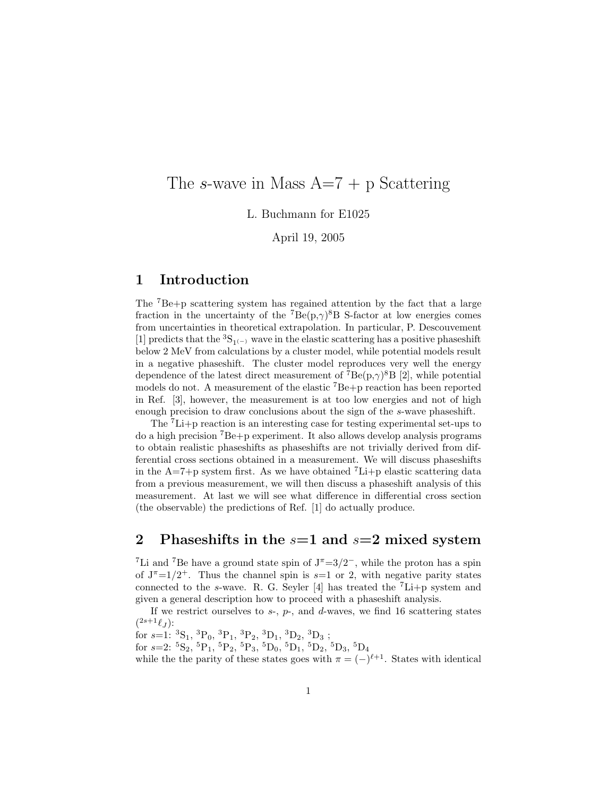## The *s*-wave in Mass A=7 + p Scattering

L. Buchmann for E1025

April 19, 2005

## **1 Introduction**

The <sup>7</sup>Be+p scattering system has regained attention by the fact that a large fraction in the uncertainty of the <sup>7</sup>Be(p, $\gamma$ )<sup>8</sup>B S-factor at low energies comes from uncertainties in theoretical extrapolation. In particular, P. Descouvement [1] predicts that the  ${}^{3}S_{1(-)}$  wave in the elastic scattering has a positive phaseshift below 2 MeV from calculations by a cluster model, while potential models result in a negative phaseshift. The cluster model reproduces very well the energy dependence of the latest direct measurement of  $^7$ Be(p, $\gamma$ )<sup>8</sup>B [2], while potential models do not. A measurement of the elastic  ${}^{7}Be + p$  reaction has been reported in Ref. [3], however, the measurement is at too low energies and not of high enough precision to draw conclusions about the sign of the s-wave phaseshift.

The <sup>7</sup>Li+p reaction is an interesting case for testing experimental set-ups to do a high precision <sup>7</sup>Be+p experiment. It also allows develop analysis programs to obtain realistic phaseshifts as phaseshifts are not trivially derived from differential cross sections obtained in a measurement. We will discuss phaseshifts in the A=7+p system first. As we have obtained  ${}^{7}$ Li+p elastic scattering data from a previous measurement, we will then discuss a phaseshift analysis of this measurement. At last we will see what difference in differential cross section (the observable) the predictions of Ref. [1] do actually produce.

### **2 Phaseshifts in the** *s***=1 and** *s***=2 mixed system**

<sup>7</sup>Li and <sup>7</sup>Be have a ground state spin of  $J^{\pi}$ =3/2<sup>-</sup>, while the proton has a spin of  $J^{\pi}=1/2^+$ . Thus the channel spin is  $s=1$  or 2, with negative parity states connected to the s-wave. R. G. Seyler [4] has treated the  ${}^{7}$ Li+p system and given a general description how to proceed with a phaseshift analysis.

If we restrict ourselves to  $s$ -,  $p$ -, and  $d$ -waves, we find 16 scattering states  $(2s+1\ell_J)$ :

for  $s=1: {}^{3}S_{1}$ ,  ${}^{3}P_{0}$ ,  ${}^{3}P_{1}$ ,  ${}^{3}P_{2}$ ,  ${}^{3}D_{1}$ ,  ${}^{3}D_{2}$ ,  ${}^{3}D_{3}$ ;

for  $s=2: {^{5}S_{2}}, {^{5}P_{1}}, {^{5}P_{2}}, {^{5}P_{3}}, {^{5}D_{0}}, {^{5}D_{1}}, {^{5}D_{2}}, {^{5}D_{3}}, {^{5}D_{4}}$ 

while the the parity of these states goes with  $\pi = (-)^{\ell+1}$ . States with identical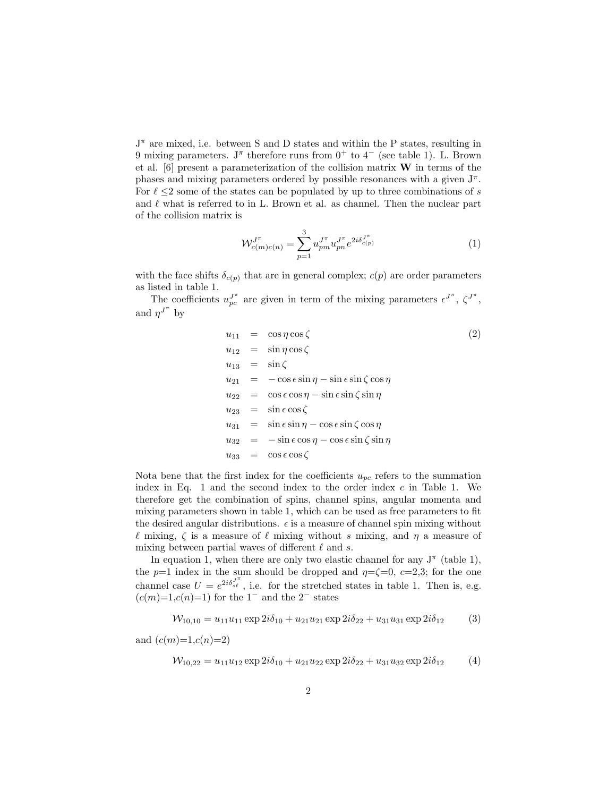$J^{\pi}$  are mixed, i.e. between S and D states and within the P states, resulting in 9 mixing parameters. J<sup>π</sup> therefore runs from  $0^+$  to  $4^-$  (see table 1). L. Brown et al. [6] present a parameterization of the collision matrix **W** in terms of the phases and mixing parameters ordered by possible resonances with a given  $J^{\pi}$ . For  $\ell \leq 2$  some of the states can be populated by up to three combinations of s and  $\ell$  what is referred to in L. Brown et al. as channel. Then the nuclear part of the collision matrix is

$$
\mathcal{W}_{c(m)c(n)}^{J^{\pi}} = \sum_{p=1}^{3} u_{pm}^{J^{\pi}} u_{pn}^{J^{\pi}} e^{2i\delta_{c(p)}^{J^{\pi}}} \tag{1}
$$

with the face shifts  $\delta_{c(p)}$  that are in general complex;  $c(p)$  are order parameters as listed in table 1.

The coefficients  $u_{pc}^{J^{\pi}}$  are given in term of the mixing parameters  $\epsilon^{J^{\pi}}, \zeta^{J^{\pi}}$ , and  $\eta^{J^{\pi}}$  by

$$
u_{11} = \cos \eta \cos \zeta
$$
\n
$$
u_{12} = \sin \eta \cos \zeta
$$
\n
$$
u_{13} = \sin \zeta
$$
\n
$$
u_{21} = -\cos \epsilon \sin \eta - \sin \epsilon \sin \zeta \cos \eta
$$
\n
$$
u_{22} = \cos \epsilon \cos \eta - \sin \epsilon \sin \zeta \sin \eta
$$
\n
$$
u_{23} = \sin \epsilon \cos \zeta
$$
\n
$$
u_{31} = \sin \epsilon \sin \eta - \cos \epsilon \sin \zeta \cos \eta
$$
\n
$$
u_{32} = -\sin \epsilon \cos \eta - \cos \epsilon \sin \zeta \sin \eta
$$
\n
$$
u_{33} = \cos \epsilon \cos \zeta
$$
\n(2)

Nota bene that the first index for the coefficients  $u_{pc}$  refers to the summation index in Eq. 1 and the second index to the order index  $c$  in Table 1. We therefore get the combination of spins, channel spins, angular momenta and mixing parameters shown in table 1, which can be used as free parameters to fit the desired angular distributions.  $\epsilon$  is a measure of channel spin mixing without  $\ell$  mixing,  $\zeta$  is a measure of  $\ell$  mixing without s mixing, and  $\eta$  a measure of mixing between partial waves of different  $\ell$  and s.

In equation 1, when there are only two elastic channel for any  $J^{\pi}$  (table 1), the  $p=1$  index in the sum should be dropped and  $\eta = \zeta = 0$ ,  $c=2,3$ ; for the one channel case  $U = e^{2i\delta_{s\ell}^{J^{\pi}}}$ , i.e. for the stretched states in table 1. Then is, e.g.  $(c(m)=1,c(n)=1)$  for the 1<sup>-</sup> and the 2<sup>-</sup> states

$$
W_{10,10} = u_{11}u_{11} \exp 2i\delta_{10} + u_{21}u_{21} \exp 2i\delta_{22} + u_{31}u_{31} \exp 2i\delta_{12}
$$
 (3)

and  $(c(m)=1,c(n)=2)$ 

$$
W_{10,22} = u_{11}u_{12} \exp 2i\delta_{10} + u_{21}u_{22} \exp 2i\delta_{22} + u_{31}u_{32} \exp 2i\delta_{12}
$$
 (4)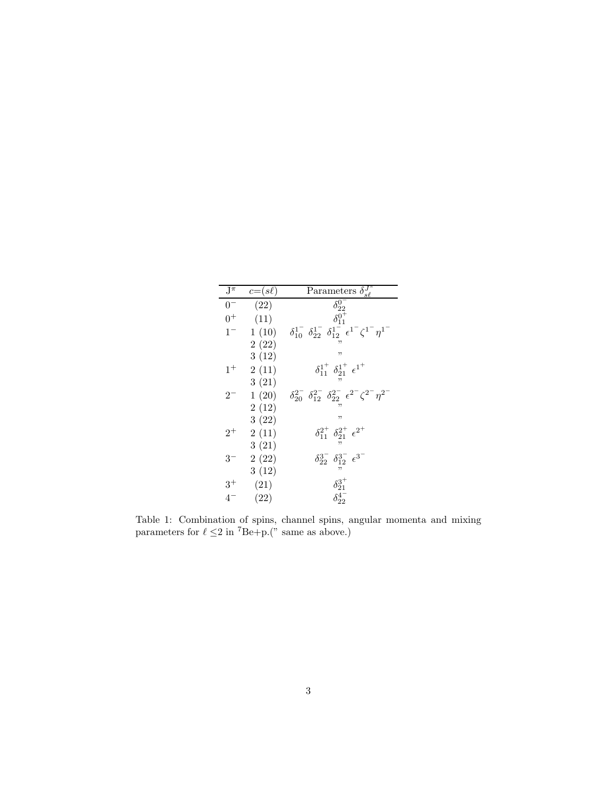| $\mathbf{J}^{\pi}$ | $c=(s\ell)$ | Parameters $\delta_{s\ell}^{J^{\pi}}$                                                                   |
|--------------------|-------------|---------------------------------------------------------------------------------------------------------|
| $0-$               | (22)        | $\delta_{22}^{0^-}$                                                                                     |
| $0+$               | (11)        | $\delta_{11}^{0+}$                                                                                      |
| $1 -$              | 1(10)       | $\delta_{10}^{1^-}$ $\delta_{22}^{1^-}$ $\delta_{12}^{1^-}$ $\epsilon^{1^-} \zeta^{1^-} \eta^{1^-}$     |
|                    | 2(22)       |                                                                                                         |
|                    | 3(12)       | "                                                                                                       |
| $1^{+}$            | 2(11)       | $\delta_{11}^{1^+}$ $\delta_{21}^{1^+}$ $\epsilon^{1^+}$                                                |
|                    | 3(21)       |                                                                                                         |
| $2^{-}$            | 1(20)       | $\delta_{20}^{2^-}$ $\delta_{12}^{2^-}$ $\delta_{22}^{2^-}$ $\epsilon^{2^-}$ $\zeta^{2^-}$ $\eta^{2^-}$ |
|                    | 2(12)       |                                                                                                         |
|                    | 3(22)       | "                                                                                                       |
| $2^+$              | 2(11)       | $\delta_{11}^{2^+}$ $\delta_{21}^{2^+}$ $\epsilon^{2^+}$                                                |
|                    | 3(21)       |                                                                                                         |
| $3^-$              | 2(22)       | $\delta_{22}^{3^-}$ $\delta_{12}^{3^-}$ $\epsilon^{3^-}$                                                |
|                    | 3(12)       |                                                                                                         |
| $3^+$              | (21)        | $\delta_{21}^{3^{+}}$                                                                                   |
| $4^-$              | (22)        | $\delta_{22}^{4^-}$                                                                                     |

Table 1: Combination of spins, channel spins, angular momenta and mixing parameters for  $\ell \leq 2$  in <sup>7</sup>Be+p.(" same as above.)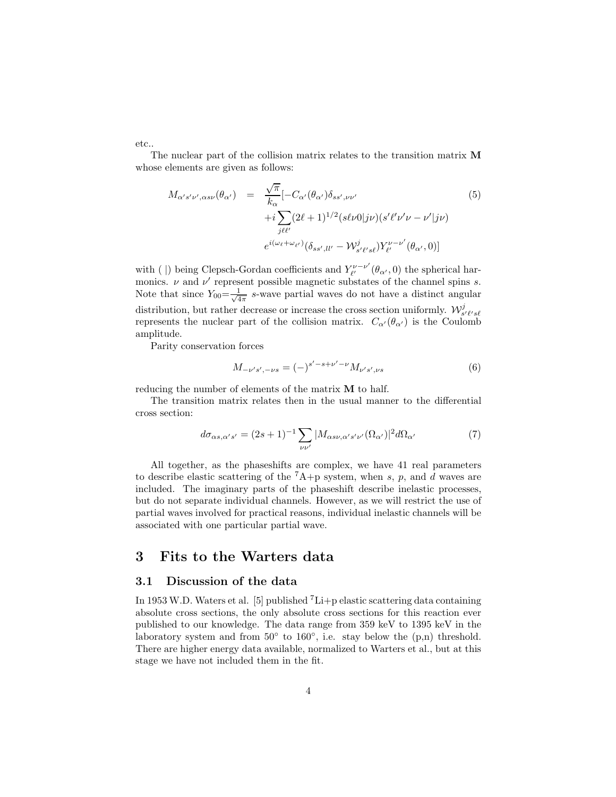etc..

The nuclear part of the collision matrix relates to the transition matrix **M** whose elements are given as follows:

$$
M_{\alpha's'\nu',\alpha s\nu}(\theta_{\alpha'}) = \frac{\sqrt{\pi}}{k_{\alpha}} [-C_{\alpha'}(\theta_{\alpha'})\delta_{ss',\nu\nu'} + i \sum_{j\ell\ell'} (2\ell+1)^{1/2} (s\ell\nu 0|j\nu) (s'\ell'\nu'\nu - \nu'|j\nu) e^{i(\omega_{\ell}+\omega_{\ell'})} (\delta_{ss',ll'}-\mathcal{W}^{j}_{s'\ell's\ell}) Y^{\nu-\nu'}_{\ell'}(\theta_{\alpha'},0)]
$$
 (5)

with ( |) being Clepsch-Gordan coefficients and  $Y_{\ell'}^{\nu-\nu'}(\theta_{\alpha'},0)$  the spherical harmonics.  $\nu$  and  $\nu'$  represent possible magnetic substates of the channel spins s. Note that since  $Y_{00} = \frac{1}{\sqrt{4\pi}} s$ -wave partial waves do not have a distinct angular distribution, but rather decrease or increase the cross section uniformly.  $\mathcal{W}_{s^{\prime}\ell^{\prime}s\ell}^{j}$ represents the nuclear part of the collision matrix.  $C_{\alpha}(\theta_{\alpha})$  is the Coulomb amplitude.

Parity conservation forces

$$
M_{-\nu's', -\nu s} = (-)^{s' - s + \nu' - \nu} M_{\nu's', \nu s} \tag{6}
$$

reducing the number of elements of the matrix **M** to half.

The transition matrix relates then in the usual manner to the differential cross section:

$$
d\sigma_{\alpha s,\alpha's'} = (2s+1)^{-1} \sum_{\nu\nu'} |M_{\alpha s\nu,\alpha's'\nu'}(\Omega_{\alpha'})|^2 d\Omega_{\alpha'} \tag{7}
$$

All together, as the phaseshifts are complex, we have 41 real parameters to describe elastic scattering of the  ${}^{7}A+p$  system, when s, p, and d waves are included. The imaginary parts of the phaseshift describe inelastic processes, but do not separate individual channels. However, as we will restrict the use of partial waves involved for practical reasons, individual inelastic channels will be associated with one particular partial wave.

## **3 Fits to the Warters data**

#### **3.1 Discussion of the data**

In 1953 W.D. Waters et al. [5] published  $^7$ Li+p elastic scattering data containing absolute cross sections, the only absolute cross sections for this reaction ever published to our knowledge. The data range from 359 keV to 1395 keV in the laboratory system and from  $50°$  to  $160°$ , i.e. stay below the  $(p,n)$  threshold. There are higher energy data available, normalized to Warters et al., but at this stage we have not included them in the fit.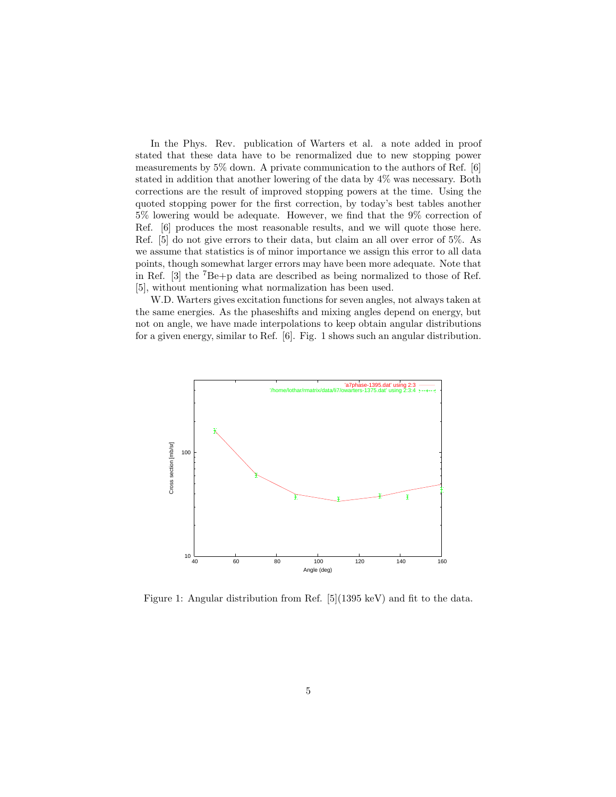In the Phys. Rev. publication of Warters et al. a note added in proof stated that these data have to be renormalized due to new stopping power measurements by 5% down. A private communication to the authors of Ref. [6] stated in addition that another lowering of the data by 4% was necessary. Both corrections are the result of improved stopping powers at the time. Using the quoted stopping power for the first correction, by today's best tables another 5% lowering would be adequate. However, we find that the 9% correction of Ref. [6] produces the most reasonable results, and we will quote those here. Ref. [5] do not give errors to their data, but claim an all over error of 5%. As we assume that statistics is of minor importance we assign this error to all data points, though somewhat larger errors may have been more adequate. Note that in Ref. [3] the <sup>7</sup>Be+p data are described as being normalized to those of Ref. [5], without mentioning what normalization has been used.

W.D. Warters gives excitation functions for seven angles, not always taken at the same energies. As the phaseshifts and mixing angles depend on energy, but not on angle, we have made interpolations to keep obtain angular distributions for a given energy, similar to Ref. [6]. Fig. 1 shows such an angular distribution.



Figure 1: Angular distribution from Ref. [5](1395 keV) and fit to the data.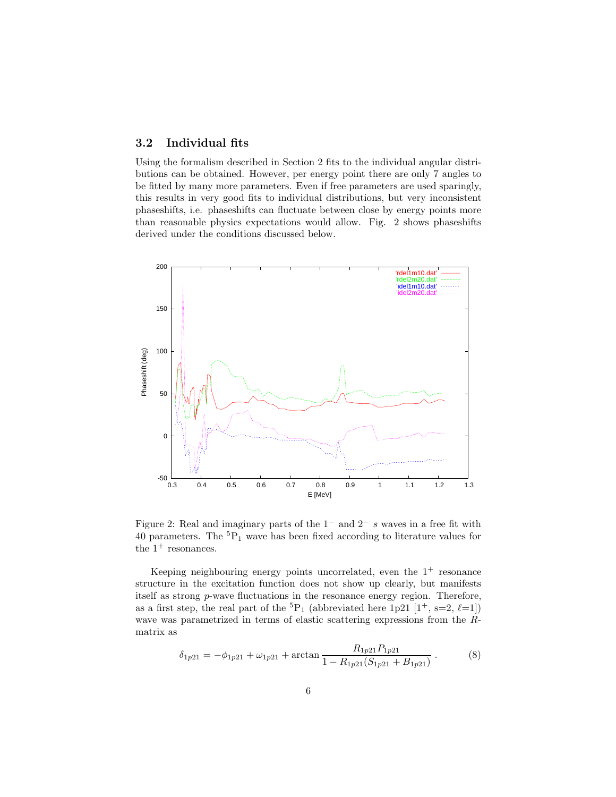### **3.2 Individual fits**

Using the formalism described in Section 2 fits to the individual angular distributions can be obtained. However, per energy point there are only 7 angles to be fitted by many more parameters. Even if free parameters are used sparingly, this results in very good fits to individual distributions, but very inconsistent phaseshifts, i.e. phaseshifts can fluctuate between close by energy points more than reasonable physics expectations would allow. Fig. 2 shows phaseshifts derived under the conditions discussed below.



Figure 2: Real and imaginary parts of the  $1^-$  and  $2^-$  s waves in a free fit with  $40$  parameters. The  $^{5}{\rm P}_{1}$  wave has been fixed according to literature values for the  $1^+$  resonances.

Keeping neighbouring energy points uncorrelated, even the  $1^+$  resonance structure in the excitation function does not show up clearly, but manifests itself as strong p-wave fluctuations in the resonance energy region. Therefore, as a first step, the real part of the  ${}^{5}P_1$  (abbreviated here 1p21 [1<sup>+</sup>, s=2,  $\ell$ =1]) wave was parametrized in terms of elastic scattering expressions from the Rmatrix as

$$
\delta_{1p21} = -\phi_{1p21} + \omega_{1p21} + \arctan\frac{R_{1p21}P_{1p21}}{1 - R_{1p21}(S_{1p21} + B_{1p21})}.
$$
(8)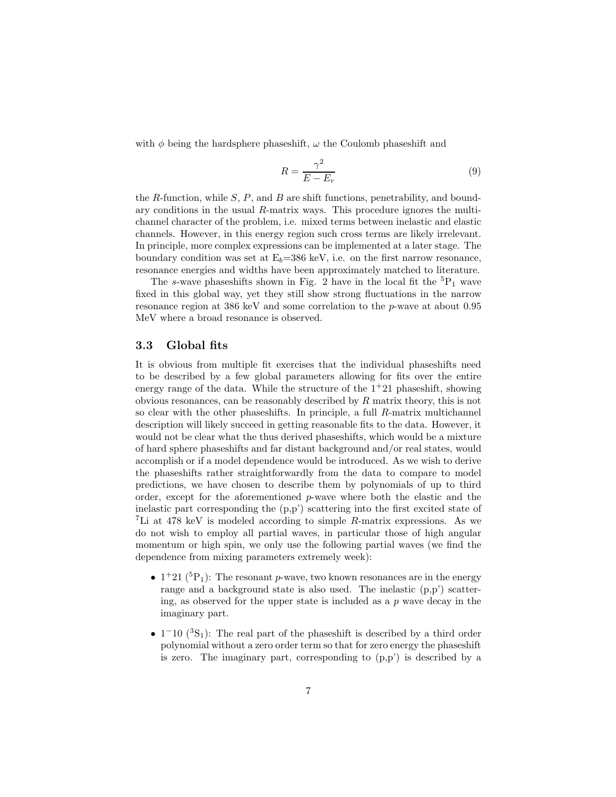with  $\phi$  being the hardsphere phaseshift,  $\omega$  the Coulomb phaseshift and

$$
R = \frac{\gamma^2}{E - E_r} \tag{9}
$$

the R-function, while  $S$ ,  $P$ , and  $B$  are shift functions, penetrability, and boundary conditions in the usual R-matrix ways. This procedure ignores the multichannel character of the problem, i.e. mixed terms between inelastic and elastic channels. However, in this energy region such cross terms are likely irrelevant. In principle, more complex expressions can be implemented at a later stage. The boundary condition was set at  $E_b=386$  keV, i.e. on the first narrow resonance, resonance energies and widths have been approximately matched to literature.

The s-wave phases hifts shown in Fig. 2 have in the local fit the  ${}^{5}P_1$  wave fixed in this global way, yet they still show strong fluctuations in the narrow resonance region at 386 keV and some correlation to the p-wave at about 0.95 MeV where a broad resonance is observed.

#### **3.3 Global fits**

It is obvious from multiple fit exercises that the individual phaseshifts need to be described by a few global parameters allowing for fits over the entire energy range of the data. While the structure of the  $1+21$  phaseshift, showing obvious resonances, can be reasonably described by R matrix theory, this is not so clear with the other phaseshifts. In principle, a full R-matrix multichannel description will likely succeed in getting reasonable fits to the data. However, it would not be clear what the thus derived phaseshifts, which would be a mixture of hard sphere phaseshifts and far distant background and/or real states, would accomplish or if a model dependence would be introduced. As we wish to derive the phaseshifts rather straightforwardly from the data to compare to model predictions, we have chosen to describe them by polynomials of up to third order, except for the aforementioned p-wave where both the elastic and the inelastic part corresponding the (p,p') scattering into the first excited state of <sup>7</sup>Li at 478 keV is modeled according to simple R-matrix expressions. As we do not wish to employ all partial waves, in particular those of high angular momentum or high spin, we only use the following partial waves (we find the dependence from mixing parameters extremely week):

- $1^+21$  (<sup>5</sup>P<sub>1</sub>): The resonant p-wave, two known resonances are in the energy range and a background state is also used. The inelastic (p,p') scattering, as observed for the upper state is included as a  $p$  wave decay in the imaginary part.
- $1^{-10}$  ( ${}^{3}S_{1}$ ): The real part of the phases hift is described by a third order polynomial without a zero order term so that for zero energy the phaseshift is zero. The imaginary part, corresponding to  $(p,p')$  is described by a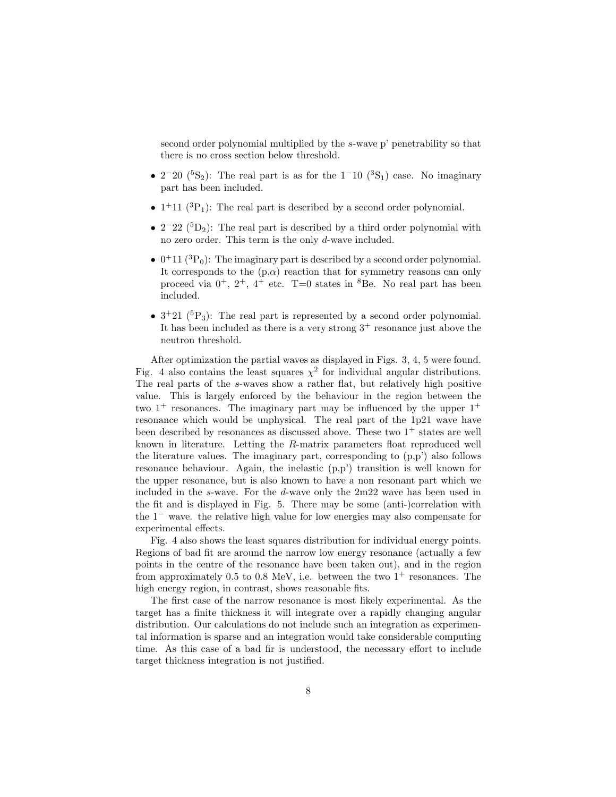second order polynomial multiplied by the s-wave p' penetrability so that there is no cross section below threshold.

- $2^-20$  (<sup>5</sup>S<sub>2</sub>): The real part is as for the 1<sup>-10</sup> (<sup>3</sup>S<sub>1</sub>) case. No imaginary part has been included.
- $1^+11$  (<sup>3</sup>P<sub>1</sub>): The real part is described by a second order polynomial.
- $2^-22$  (<sup>5</sup>D<sub>2</sub>): The real part is described by a third order polynomial with no zero order. This term is the only d-wave included.
- $0^+11$  (<sup>3</sup>P<sub>0</sub>): The imaginary part is described by a second order polynomial. It corresponds to the  $(p,\alpha)$  reaction that for symmetry reasons can only proceed via  $0^+$ ,  $2^+$ ,  $4^+$  etc. T=0 states in <sup>8</sup>Be. No real part has been included.
- $3^+21$  ( $5P_3$ ): The real part is represented by a second order polynomial. It has been included as there is a very strong  $3^+$  resonance just above the neutron threshold.

After optimization the partial waves as displayed in Figs. 3, 4, 5 were found. Fig. 4 also contains the least squares  $\chi^2$  for individual angular distributions. The real parts of the s-waves show a rather flat, but relatively high positive value. This is largely enforced by the behaviour in the region between the two  $1^+$  resonances. The imaginary part may be influenced by the upper  $1^+$ resonance which would be unphysical. The real part of the 1p21 wave have been described by resonances as discussed above. These two  $1^+$  states are well known in literature. Letting the R-matrix parameters float reproduced well the literature values. The imaginary part, corresponding to  $(p,p')$  also follows resonance behaviour. Again, the inelastic (p,p') transition is well known for the upper resonance, but is also known to have a non resonant part which we included in the s-wave. For the d-wave only the 2m22 wave has been used in the fit and is displayed in Fig. 5. There may be some (anti-)correlation with the 1<sup>−</sup> wave. the relative high value for low energies may also compensate for experimental effects.

Fig. 4 also shows the least squares distribution for individual energy points. Regions of bad fit are around the narrow low energy resonance (actually a few points in the centre of the resonance have been taken out), and in the region from approximately 0.5 to 0.8 MeV, i.e. between the two  $1^+$  resonances. The high energy region, in contrast, shows reasonable fits.

The first case of the narrow resonance is most likely experimental. As the target has a finite thickness it will integrate over a rapidly changing angular distribution. Our calculations do not include such an integration as experimental information is sparse and an integration would take considerable computing time. As this case of a bad fir is understood, the necessary effort to include target thickness integration is not justified.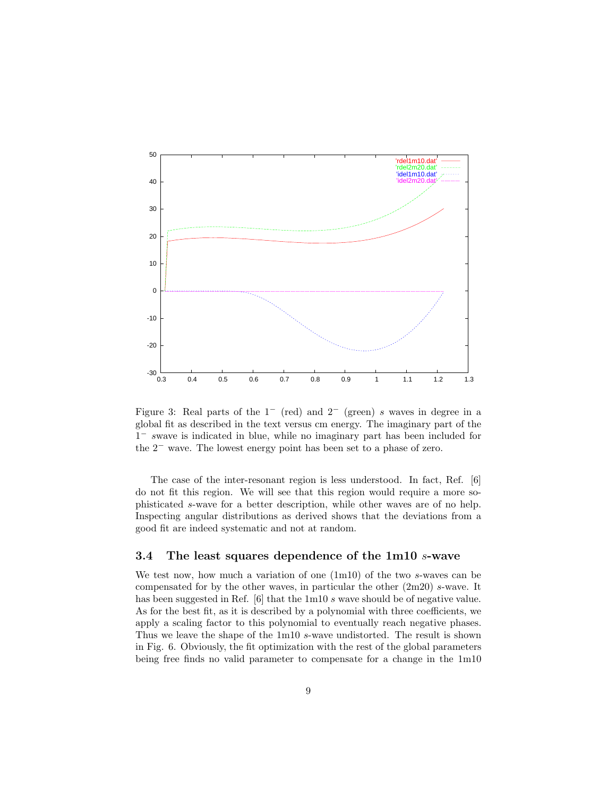

Figure 3: Real parts of the  $1^-$  (red) and  $2^-$  (green) s waves in degree in a global fit as described in the text versus cm energy. The imaginary part of the 1<sup>−</sup> swave is indicated in blue, while no imaginary part has been included for the 2<sup>−</sup> wave. The lowest energy point has been set to a phase of zero.

The case of the inter-resonant region is less understood. In fact, Ref. [6] do not fit this region. We will see that this region would require a more sophisticated s-wave for a better description, while other waves are of no help. Inspecting angular distributions as derived shows that the deviations from a good fit are indeed systematic and not at random.

#### **3.4 The least squares dependence of the 1m10** *s***-wave**

We test now, how much a variation of one  $(1m10)$  of the two s-waves can be compensated for by the other waves, in particular the other (2m20) s-wave. It has been suggested in Ref. [6] that the 1m10 s wave should be of negative value. As for the best fit, as it is described by a polynomial with three coefficients, we apply a scaling factor to this polynomial to eventually reach negative phases. Thus we leave the shape of the 1m10 s-wave undistorted. The result is shown in Fig. 6. Obviously, the fit optimization with the rest of the global parameters being free finds no valid parameter to compensate for a change in the 1m10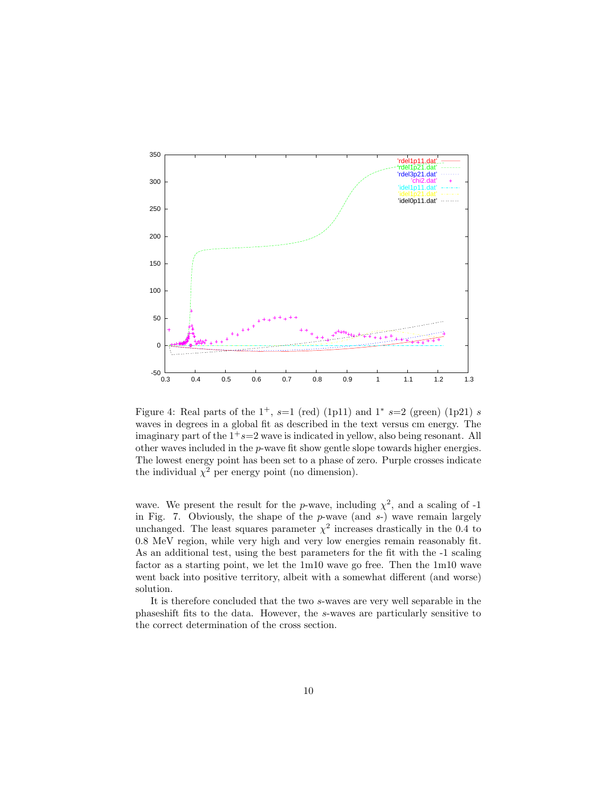

Figure 4: Real parts of the  $1^+$ ,  $s=1$  (red) (1p11) and  $1^*$   $s=2$  (green) (1p21)  $s$ waves in degrees in a global fit as described in the text versus cm energy. The imaginary part of the  $1+s=2$  wave is indicated in yellow, also being resonant. All other waves included in the p-wave fit show gentle slope towards higher energies. The lowest energy point has been set to a phase of zero. Purple crosses indicate the individual  $\chi^2$  per energy point (no dimension).

wave. We present the result for the p-wave, including  $\chi^2$ , and a scaling of -1 in Fig. 7. Obviously, the shape of the  $p$ -wave (and  $s$ -) wave remain largely unchanged. The least squares parameter  $\chi^2$  increases drastically in the 0.4 to 0.8 MeV region, while very high and very low energies remain reasonably fit. As an additional test, using the best parameters for the fit with the -1 scaling factor as a starting point, we let the 1m10 wave go free. Then the 1m10 wave went back into positive territory, albeit with a somewhat different (and worse) solution.

It is therefore concluded that the two s-waves are very well separable in the phaseshift fits to the data. However, the s-waves are particularly sensitive to the correct determination of the cross section.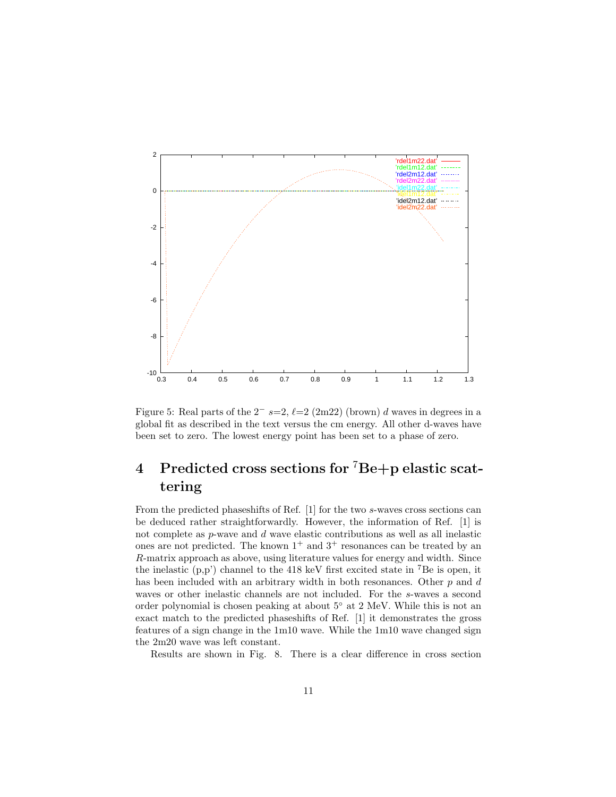

Figure 5: Real parts of the  $2^{-}$  s=2,  $\ell$ =2 (2m22) (brown) d waves in degrees in a global fit as described in the text versus the cm energy. All other d-waves have been set to zero. The lowest energy point has been set to a phase of zero.

# **4 Predicted cross sections for** <sup>7</sup>**Be+p elastic scattering**

From the predicted phaseshifts of Ref. [1] for the two s-waves cross sections can be deduced rather straightforwardly. However, the information of Ref. [1] is not complete as  $p$ -wave and  $d$  wave elastic contributions as well as all inelastic ones are not predicted. The known  $1^+$  and  $3^+$  resonances can be treated by an R-matrix approach as above, using literature values for energy and width. Since the inelastic  $(p, p')$  channel to the 418 keV first excited state in <sup>7</sup>Be is open, it has been included with an arbitrary width in both resonances. Other  $p$  and  $d$ waves or other inelastic channels are not included. For the s-waves a second order polynomial is chosen peaking at about 5◦ at 2 MeV. While this is not an exact match to the predicted phaseshifts of Ref. [1] it demonstrates the gross features of a sign change in the 1m10 wave. While the 1m10 wave changed sign the 2m20 wave was left constant.

Results are shown in Fig. 8. There is a clear difference in cross section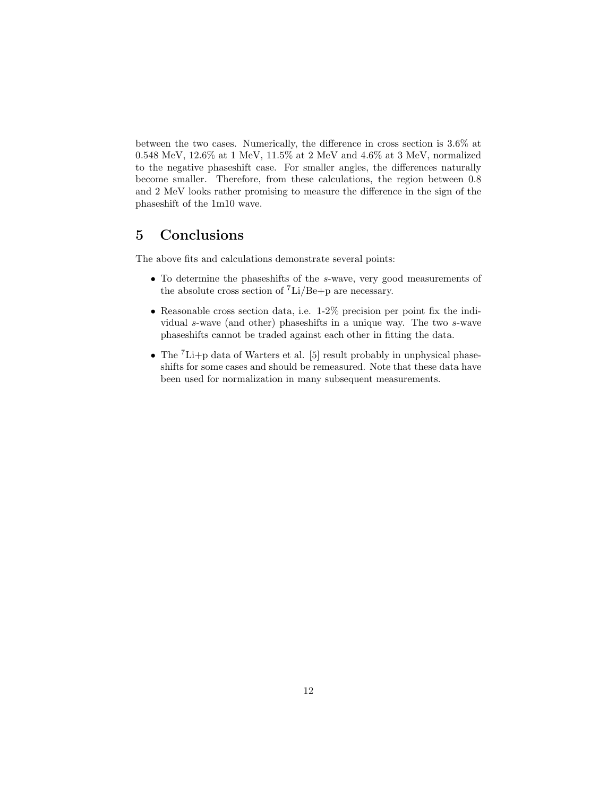between the two cases. Numerically, the difference in cross section is 3.6% at 0.548 MeV, 12.6% at 1 MeV, 11.5% at 2 MeV and 4.6% at 3 MeV, normalized to the negative phaseshift case. For smaller angles, the differences naturally become smaller. Therefore, from these calculations, the region between 0.8 and 2 MeV looks rather promising to measure the difference in the sign of the phaseshift of the 1m10 wave.

## **5 Conclusions**

The above fits and calculations demonstrate several points:

- To determine the phaseshifts of the <sup>s</sup>-wave, very good measurements of the absolute cross section of  $\mathrm{Li/Be+}p$  are necessary.
- Reasonable cross section data, i.e. 1-2% precision per point fix the individual s-wave (and other) phaseshifts in a unique way. The two s-wave phaseshifts cannot be traded against each other in fitting the data.
- The  ${}^{7}$ Li+p data of Warters et al. [5] result probably in unphysical phaseshifts for some cases and should be remeasured. Note that these data have been used for normalization in many subsequent measurements.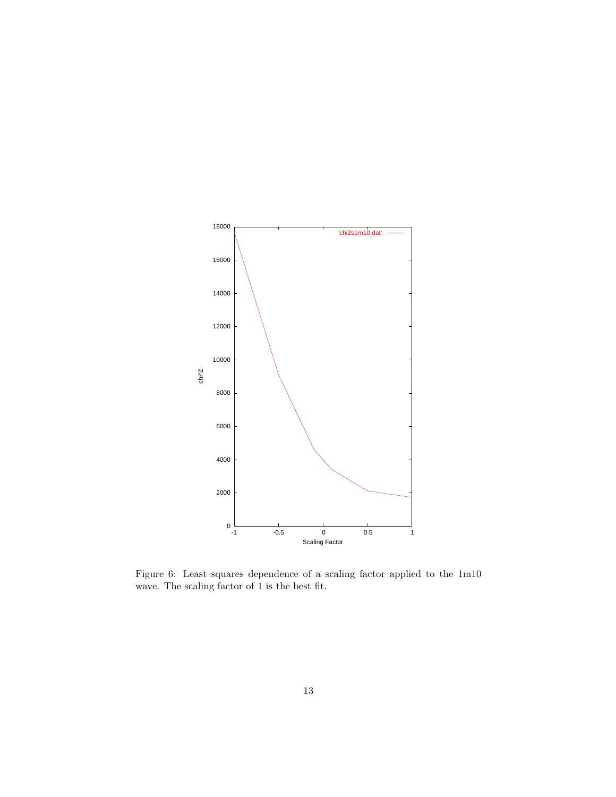

Figure 6: Least squares dependence of a scaling factor applied to the 1m10 wave. The scaling factor of 1 is the best fit.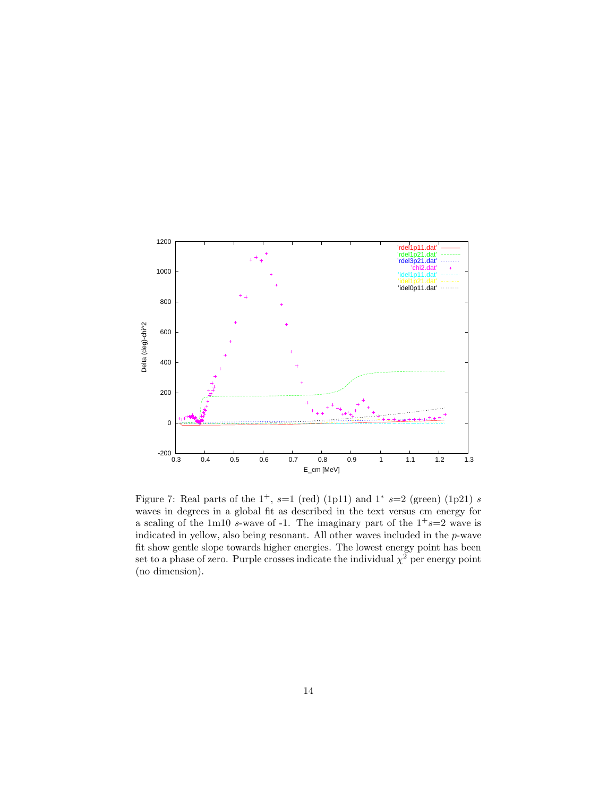

Figure 7: Real parts of the  $1^+$ ,  $s=1$  (red) (1p11) and  $1^*$   $s=2$  (green) (1p21)  $s$ waves in degrees in a global fit as described in the text versus cm energy for a scaling of the 1m10 s-wave of -1. The imaginary part of the  $1+s=2$  wave is indicated in yellow, also being resonant. All other waves included in the p-wave fit show gentle slope towards higher energies. The lowest energy point has been set to a phase of zero. Purple crosses indicate the individual  $\chi^2$  per energy point (no dimension).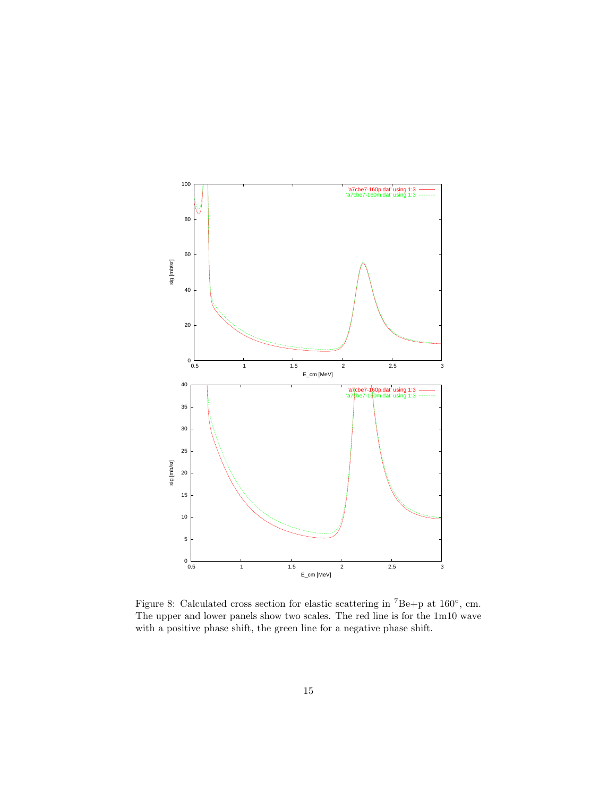

Figure 8: Calculated cross section for elastic scattering in <sup>7</sup>Be+p at 160◦, cm. The upper and lower panels show two scales. The red line is for the 1m10 wave with a positive phase shift, the green line for a negative phase shift.